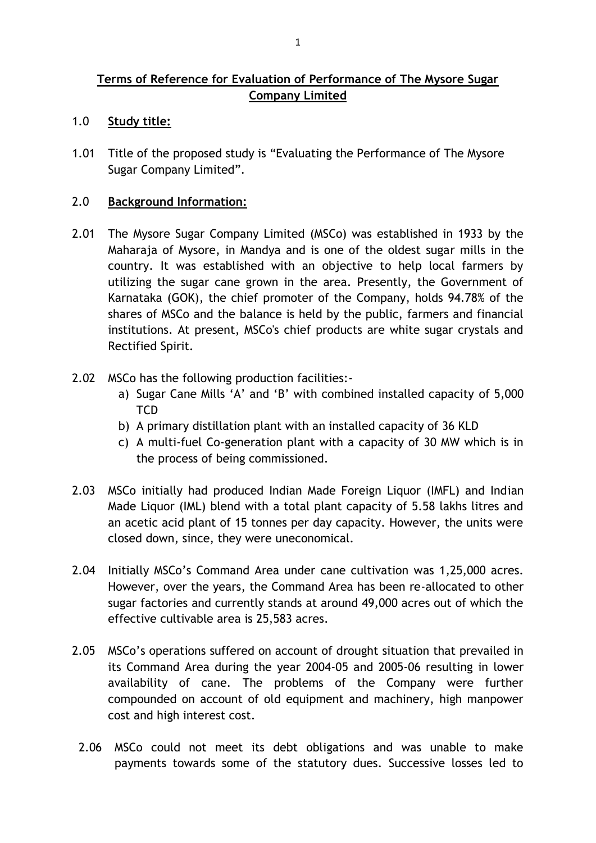# **Terms of Reference for Evaluation of Performance of The Mysore Sugar Company Limited**

- 1.0 **Study title:**
- 1.01 Title of the proposed study is "Evaluating the Performance of The Mysore Sugar Company Limited".

#### 2.0 **Background Information:**

- 2.01 The Mysore Sugar Company Limited (MSCo) was established in 1933 by the Maharaja of Mysore, in Mandya and is one of the oldest sugar mills in the country. It was established with an objective to help local farmers by utilizing the sugar cane grown in the area. Presently, the Government of Karnataka (GOK), the chief promoter of the Company, holds 94.78% of the shares of MSCo and the balance is held by the public, farmers and financial institutions. At present, MSCo's chief products are white sugar crystals and Rectified Spirit.
- 2.02 MSCo has the following production facilities:
	- a) Sugar Cane Mills 'A' and 'B' with combined installed capacity of 5,000 **TCD**
	- b) A primary distillation plant with an installed capacity of 36 KLD
	- c) A multi-fuel Co-generation plant with a capacity of 30 MW which is in the process of being commissioned.
- 2.03 MSCo initially had produced Indian Made Foreign Liquor (IMFL) and Indian Made Liquor (IML) blend with a total plant capacity of 5.58 lakhs litres and an acetic acid plant of 15 tonnes per day capacity. However, the units were closed down, since, they were uneconomical.
- 2.04 Initially MSCo's Command Area under cane cultivation was 1,25,000 acres. However, over the years, the Command Area has been re-allocated to other sugar factories and currently stands at around 49,000 acres out of which the effective cultivable area is 25,583 acres.
- 2.05 MSCo's operations suffered on account of drought situation that prevailed in its Command Area during the year 2004-05 and 2005-06 resulting in lower availability of cane. The problems of the Company were further compounded on account of old equipment and machinery, high manpower cost and high interest cost.
- 2.06 MSCo could not meet its debt obligations and was unable to make payments towards some of the statutory dues. Successive losses led to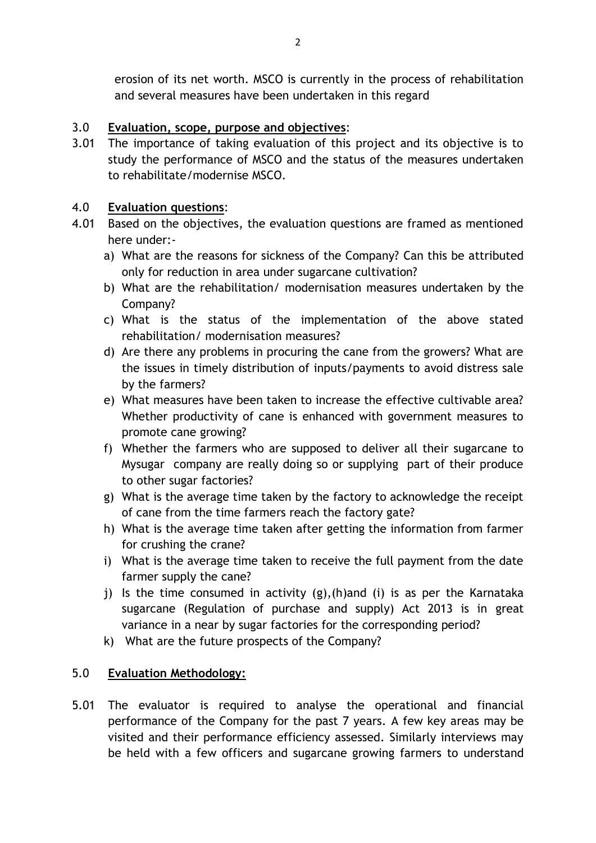erosion of its net worth. MSCO is currently in the process of rehabilitation and several measures have been undertaken in this regard

## 3.0 **Evaluation, scope, purpose and objectives**:

3.01 The importance of taking evaluation of this project and its objective is to study the performance of MSCO and the status of the measures undertaken to rehabilitate/modernise MSCO.

## 4.0 **Evaluation questions**:

- 4.01 Based on the objectives, the evaluation questions are framed as mentioned here under:
	- a) What are the reasons for sickness of the Company? Can this be attributed only for reduction in area under sugarcane cultivation?
	- b) What are the rehabilitation/ modernisation measures undertaken by the Company?
	- c) What is the status of the implementation of the above stated rehabilitation/ modernisation measures?
	- d) Are there any problems in procuring the cane from the growers? What are the issues in timely distribution of inputs/payments to avoid distress sale by the farmers?
	- e) What measures have been taken to increase the effective cultivable area? Whether productivity of cane is enhanced with government measures to promote cane growing?
	- f) Whether the farmers who are supposed to deliver all their sugarcane to Mysugar company are really doing so or supplying part of their produce to other sugar factories?
	- g) What is the average time taken by the factory to acknowledge the receipt of cane from the time farmers reach the factory gate?
	- h) What is the average time taken after getting the information from farmer for crushing the crane?
	- i) What is the average time taken to receive the full payment from the date farmer supply the cane?
	- j) Is the time consumed in activity (g),(h)and (i) is as per the Karnataka sugarcane (Regulation of purchase and supply) Act 2013 is in great variance in a near by sugar factories for the corresponding period?
	- k) What are the future prospects of the Company?

# 5.0 **Evaluation Methodology:**

5.01 The evaluator is required to analyse the operational and financial performance of the Company for the past 7 years. A few key areas may be visited and their performance efficiency assessed. Similarly interviews may be held with a few officers and sugarcane growing farmers to understand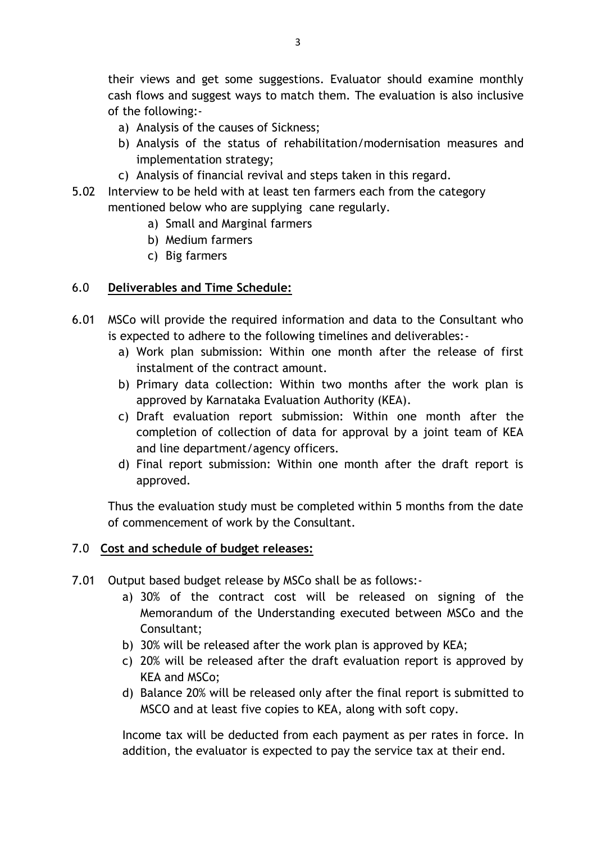their views and get some suggestions. Evaluator should examine monthly cash flows and suggest ways to match them. The evaluation is also inclusive of the following:-

- a) Analysis of the causes of Sickness;
- b) Analysis of the status of rehabilitation/modernisation measures and implementation strategy;
- c) Analysis of financial revival and steps taken in this regard.
- 5.02 Interview to be held with at least ten farmers each from the category mentioned below who are supplying cane regularly.
	- a) Small and Marginal farmers
	- b) Medium farmers
	- c) Big farmers

## 6.0 **Deliverables and Time Schedule:**

- 6.01 MSCo will provide the required information and data to the Consultant who is expected to adhere to the following timelines and deliverables:
	- a) Work plan submission: Within one month after the release of first instalment of the contract amount.
	- b) Primary data collection: Within two months after the work plan is approved by Karnataka Evaluation Authority (KEA).
	- c) Draft evaluation report submission: Within one month after the completion of collection of data for approval by a joint team of KEA and line department/agency officers.
	- d) Final report submission: Within one month after the draft report is approved.

Thus the evaluation study must be completed within 5 months from the date of commencement of work by the Consultant.

### 7.0 **Cost and schedule of budget releases:**

- 7.01 Output based budget release by MSCo shall be as follows:
	- a) 30% of the contract cost will be released on signing of the Memorandum of the Understanding executed between MSCo and the Consultant;
	- b) 30% will be released after the work plan is approved by KEA;
	- c) 20% will be released after the draft evaluation report is approved by KEA and MSCo;
	- d) Balance 20% will be released only after the final report is submitted to MSCO and at least five copies to KEA, along with soft copy.

Income tax will be deducted from each payment as per rates in force. In addition, the evaluator is expected to pay the service tax at their end.